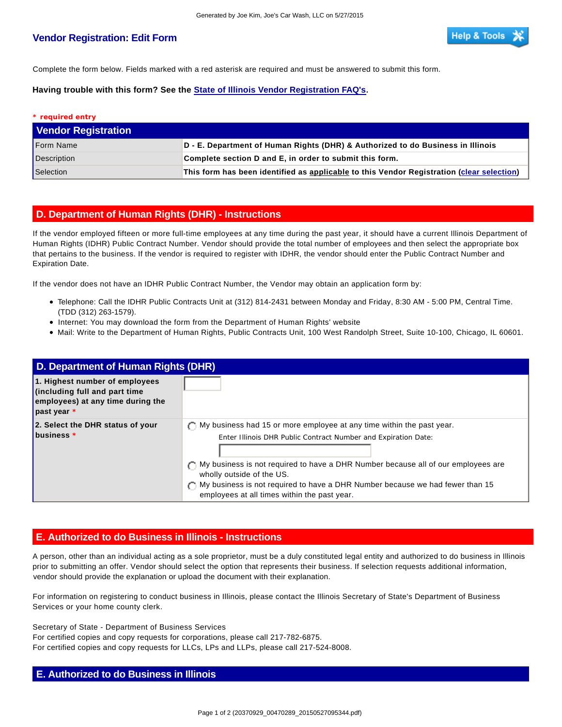## **Vendor Registration: Edit Form**

Complete the form below. Fields marked with a red asterisk are required and must be answered to submit this form.

**Having trouble with this form? See the State of Illinois Vendor Registration FAQ's.**

| * required entry           |                                                                                           |
|----------------------------|-------------------------------------------------------------------------------------------|
| <b>Vendor Registration</b> |                                                                                           |
| Form Name                  | D - E. Department of Human Rights (DHR) & Authorized to do Business in Illinois           |
| Description                | Complete section D and E, in order to submit this form.                                   |
| Selection                  | This form has been identified as applicable to this Vendor Registration (clear selection) |

## **D. Department of Human Rights (DHR) - Instructions**

If the vendor employed fifteen or more full-time employees at any time during the past year, it should have a current Illinois Department of Human Rights (IDHR) Public Contract Number. Vendor should provide the total number of employees and then select the appropriate box that pertains to the business. If the vendor is required to register with IDHR, the vendor should enter the Public Contract Number and Expiration Date.

If the vendor does not have an IDHR Public Contract Number, the Vendor may obtain an application form by:

- Telephone: Call the IDHR Public Contracts Unit at (312) 814-2431 between Monday and Friday, 8:30 AM 5:00 PM, Central Time. (TDD (312) 263-1579).
- Internet: You may download the form from the Department of Human Rights' website
- Mail: Write to the Department of Human Rights, Public Contracts Unit, 100 West Randolph Street, Suite 10-100, Chicago, IL 60601.

| D. Department of Human Rights (DHR)                                                                                    |                                                                                                                                                                                                                                                                                                                                                                                                        |  |  |  |  |
|------------------------------------------------------------------------------------------------------------------------|--------------------------------------------------------------------------------------------------------------------------------------------------------------------------------------------------------------------------------------------------------------------------------------------------------------------------------------------------------------------------------------------------------|--|--|--|--|
| 1. Highest number of employees<br>(including full and part time)<br>employees) at any time during the<br>past year $*$ |                                                                                                                                                                                                                                                                                                                                                                                                        |  |  |  |  |
| 2. Select the DHR status of your<br>business $*$                                                                       | $\bigcap$ My business had 15 or more employee at any time within the past year.<br>Enter Illinois DHR Public Contract Number and Expiration Date:<br>My business is not required to have a DHR Number because all of our employees are<br>wholly outside of the US.<br>∩ My business is not required to have a DHR Number because we had fewer than 15<br>employees at all times within the past year. |  |  |  |  |

## **E. Authorized to do Business in Illinois - Instructions**

A person, other than an individual acting as a sole proprietor, must be a duly constituted legal entity and authorized to do business in Illinois prior to submitting an offer. Vendor should select the option that represents their business. If selection requests additional information, vendor should provide the explanation or upload the document with their explanation.

For information on registering to conduct business in Illinois, please contact the Illinois Secretary of State's Department of Business Services or your home county clerk.

Secretary of State - Department of Business Services For certified copies and copy requests for corporations, please call 217-782-6875. For certified copies and copy requests for LLCs, LPs and LLPs, please call 217-524-8008.

## **E. Authorized to do Business in Illinois**